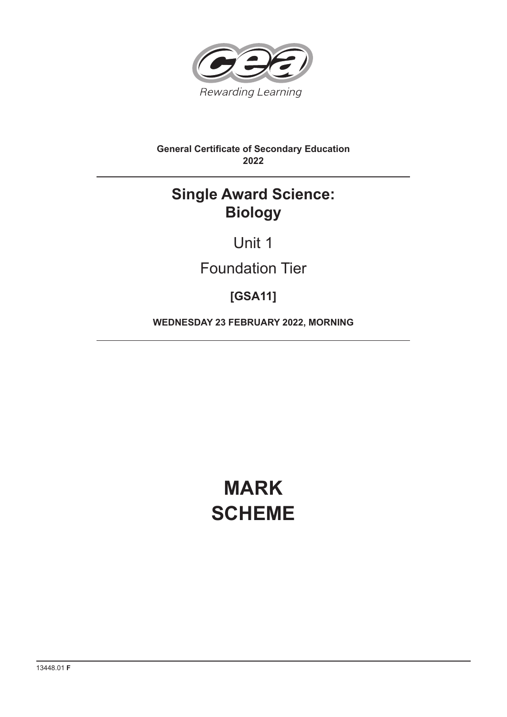

# **General Certificate of Secondary Education 2022**

# **Single Award Science: Biology**

Unit 1

# Foundation Tier

# **[GSA11]**

**WEDNESDAY 23 FEBRUARY 2022, MORNING**

# **MARK SCHEME**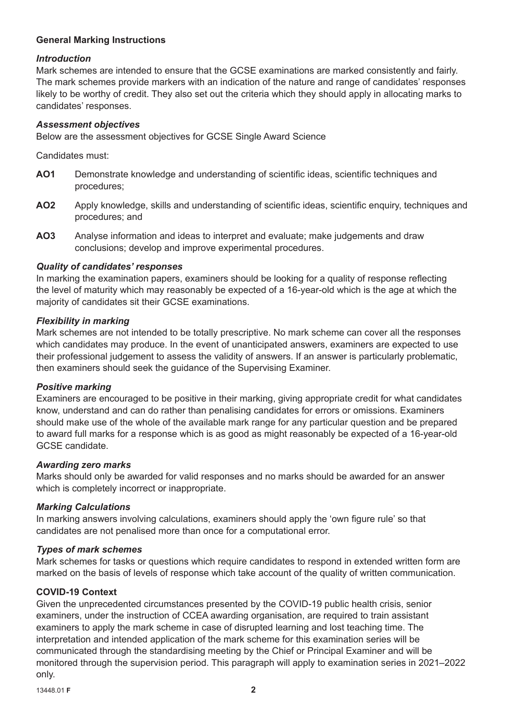## **General Marking Instructions**

## *Introduction*

Mark schemes are intended to ensure that the GCSE examinations are marked consistently and fairly. The mark schemes provide markers with an indication of the nature and range of candidates' responses likely to be worthy of credit. They also set out the criteria which they should apply in allocating marks to candidates' responses.

## *Assessment objectives*

Below are the assessment objectives for GCSE Single Award Science

Candidates must:

- **AO1** Demonstrate knowledge and understanding of scientific ideas, scientific techniques and procedures;
- AO2 Apply knowledge, skills and understanding of scientific ideas, scientific enquiry, techniques and procedures; and
- **AO3** Analyse information and ideas to interpret and evaluate; make judgements and draw conclusions; develop and improve experimental procedures.

## *Quality of candidates' responses*

In marking the examination papers, examiners should be looking for a quality of response reflecting the level of maturity which may reasonably be expected of a 16-year-old which is the age at which the majority of candidates sit their GCSE examinations.

## *Flexibility in marking*

Mark schemes are not intended to be totally prescriptive. No mark scheme can cover all the responses which candidates may produce. In the event of unanticipated answers, examiners are expected to use their professional judgement to assess the validity of answers. If an answer is particularly problematic, then examiners should seek the guidance of the Supervising Examiner.

#### *Positive marking*

Examiners are encouraged to be positive in their marking, giving appropriate credit for what candidates know, understand and can do rather than penalising candidates for errors or omissions. Examiners should make use of the whole of the available mark range for any particular question and be prepared to award full marks for a response which is as good as might reasonably be expected of a 16-year-old GCSE candidate.

#### *Awarding zero marks*

Marks should only be awarded for valid responses and no marks should be awarded for an answer which is completely incorrect or inappropriate.

#### *Marking Calculations*

In marking answers involving calculations, examiners should apply the 'own figure rule' so that candidates are not penalised more than once for a computational error.

#### *Types of mark schemes*

Mark schemes for tasks or questions which require candidates to respond in extended written form are marked on the basis of levels of response which take account of the quality of written communication.

#### **COVID-19 Context**

Given the unprecedented circumstances presented by the COVID-19 public health crisis, senior examiners, under the instruction of CCEA awarding organisation, are required to train assistant examiners to apply the mark scheme in case of disrupted learning and lost teaching time. The interpretation and intended application of the mark scheme for this examination series will be communicated through the standardising meeting by the Chief or Principal Examiner and will be monitored through the supervision period. This paragraph will apply to examination series in 2021–2022 only.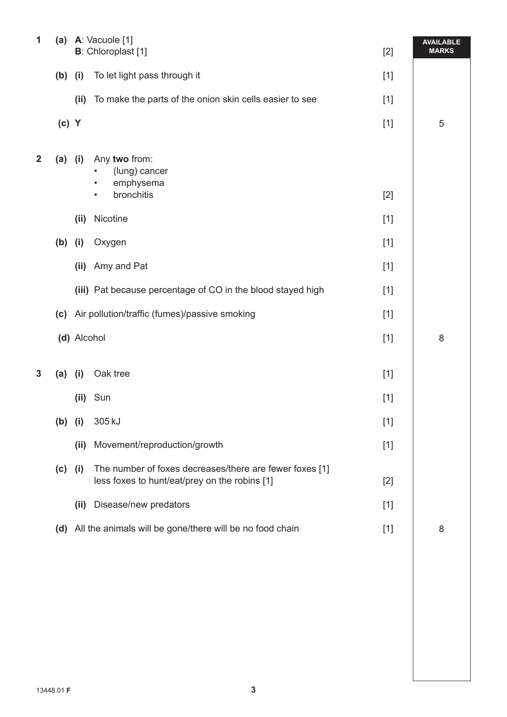| 1              | (a)       |             | A: Vacuole [1]<br><b>B</b> : Chloroplast [1]                                                             | $[2]$ | <b>AVAILABLE</b><br><b>MARKS</b> |
|----------------|-----------|-------------|----------------------------------------------------------------------------------------------------------|-------|----------------------------------|
|                | $(b)$ (i) |             | To let light pass through it                                                                             | $[1]$ |                                  |
|                |           | (ii)        | To make the parts of the onion skin cells easier to see                                                  | $[1]$ |                                  |
|                | $(c)$ Y   |             |                                                                                                          | $[1]$ | 5                                |
| $\overline{2}$ | $(a)$ (i) |             | Any two from:<br>(lung) cancer<br>emphysema<br>$\bullet$<br>bronchitis<br>٠                              | $[2]$ |                                  |
|                |           | (ii)        | Nicotine                                                                                                 | $[1]$ |                                  |
|                | (b)       | (i)         | Oxygen                                                                                                   | $[1]$ |                                  |
|                |           | (ii)        | Amy and Pat                                                                                              | $[1]$ |                                  |
|                |           |             | (iii) Pat because percentage of CO in the blood stayed high                                              | $[1]$ |                                  |
|                | (c)       |             | Air pollution/traffic (fumes)/passive smoking                                                            | $[1]$ |                                  |
|                |           | (d) Alcohol |                                                                                                          | $[1]$ | 8                                |
| 3              | (a)       | (i)         | Oak tree                                                                                                 | $[1]$ |                                  |
|                |           | (ii)        | Sun                                                                                                      | $[1]$ |                                  |
|                | $(b)$ (i) |             | 305 kJ                                                                                                   | $[1]$ |                                  |
|                |           | (ii)        | Movement/reproduction/growth                                                                             | $[1]$ |                                  |
|                | $(c)$ (i) |             | The number of foxes decreases/there are fewer foxes [1]<br>less foxes to hunt/eat/prey on the robins [1] | $[2]$ |                                  |
|                |           | (ii)        | Disease/new predators                                                                                    | $[1]$ |                                  |
|                |           |             | (d) All the animals will be gone/there will be no food chain                                             | $[1]$ | 8                                |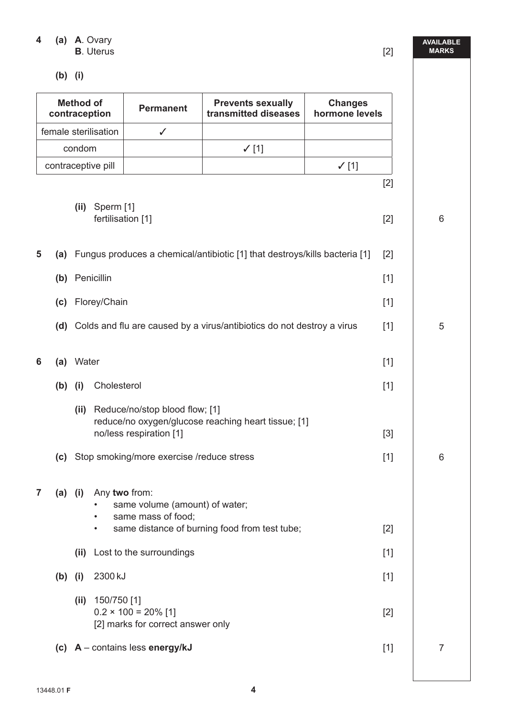**4 (a) A**. Ovary **B**. Uterus [2]

 **(b) (i)**

| <b>Method of</b><br>contraception |                      |       |                                                 | <b>Permanent</b>                                                                                       | <b>Prevents sexually</b><br>transmitted diseases                           | <b>Changes</b><br>hormone levels |
|-----------------------------------|----------------------|-------|-------------------------------------------------|--------------------------------------------------------------------------------------------------------|----------------------------------------------------------------------------|----------------------------------|
|                                   | female sterilisation |       |                                                 | $\checkmark$                                                                                           |                                                                            |                                  |
|                                   | condom               |       |                                                 |                                                                                                        | $\checkmark$ [1]                                                           |                                  |
|                                   | contraceptive pill   |       |                                                 |                                                                                                        |                                                                            | $\checkmark$ [1]                 |
|                                   |                      | (ii)  | Sperm [1]<br>fertilisation [1]                  |                                                                                                        |                                                                            | $[2]$<br>$[2]$                   |
| 5                                 | (a)                  |       |                                                 |                                                                                                        | Fungus produces a chemical/antibiotic [1] that destroys/kills bacteria [1] | $[2]$                            |
|                                   |                      |       | (b) Penicillin                                  |                                                                                                        |                                                                            | $[1]$                            |
|                                   | (c)                  |       | Florey/Chain                                    |                                                                                                        |                                                                            | $[1]$                            |
|                                   |                      |       |                                                 |                                                                                                        | (d) Colds and flu are caused by a virus/antibiotics do not destroy a virus | $[1]$                            |
| 6                                 | (a)                  | Water |                                                 |                                                                                                        |                                                                            | $[1]$                            |
|                                   | $(b)$ (i)            |       | Cholesterol                                     |                                                                                                        |                                                                            | $[1]$                            |
|                                   | (c)                  | (ii)  |                                                 | Reduce/no/stop blood flow; [1]<br>no/less respiration [1]<br>Stop smoking/more exercise /reduce stress | reduce/no oxygen/glucose reaching heart tissue; [1]                        | $[3]$<br>$[1]$                   |
| $\mathbf{7}$                      |                      |       | (a) (i) Any two from:<br>$\bullet$<br>$\bullet$ | same volume (amount) of water;<br>same mass of food;                                                   | same distance of burning food from test tube;                              | $[2]$                            |
|                                   |                      |       |                                                 | (ii) Lost to the surroundings                                                                          |                                                                            | $[1]$                            |
|                                   | $(b)$ (i)            |       | 2300 kJ                                         |                                                                                                        |                                                                            | $[1]$                            |
|                                   |                      |       | (ii) $150/750$ [1]                              | $0.2 \times 100 = 20\%$ [1]<br>[2] marks for correct answer only                                       |                                                                            | $[2]$                            |
|                                   |                      |       |                                                 | (c) $A$ – contains less energy/kJ                                                                      |                                                                            | $[1]$                            |

**AVAILABLE** 

**MARKS**